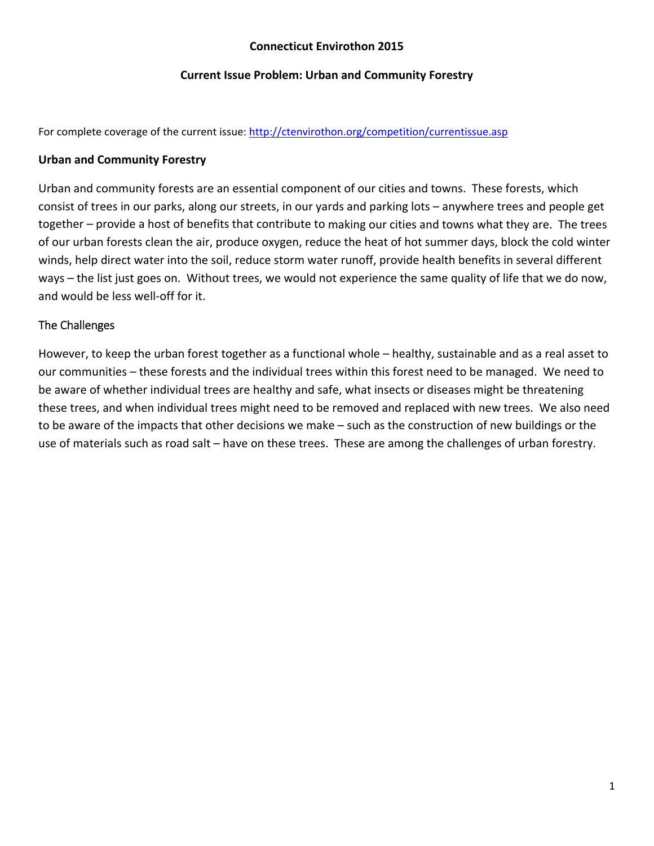## **Connecticut Envirothon 2015**

#### **Current Issue Problem: Urban and Community Forestry**

For complete coverage of the current issue: http://ctenvirothon.org/competition/currentissue.asp

## **Urban and Community Forestry**

Urban and community forests are an essential component of our cities and towns. These forests, which consist of trees in our parks, along our streets, in our yards and parking lots – anywhere trees and people get together – provide a host of benefits that contribute to making our cities and towns what they are. The trees of our urban forests clean the air, produce oxygen, reduce the heat of hot summer days, block the cold winter winds, help direct water into the soil, reduce storm water runoff, provide health benefits in several different ways – the list just goes on. Without trees, we would not experience the same quality of life that we do now, and would be less well‐off for it.

# The Challenges

However, to keep the urban forest together as a functional whole – healthy, sustainable and as a real asset to our communities – these forests and the individual trees within this forest need to be managed. We need to be aware of whether individual trees are healthy and safe, what insects or diseases might be threatening these trees, and when individual trees might need to be removed and replaced with new trees. We also need to be aware of the impacts that other decisions we make – such as the construction of new buildings or the use of materials such as road salt – have on these trees. These are among the challenges of urban forestry.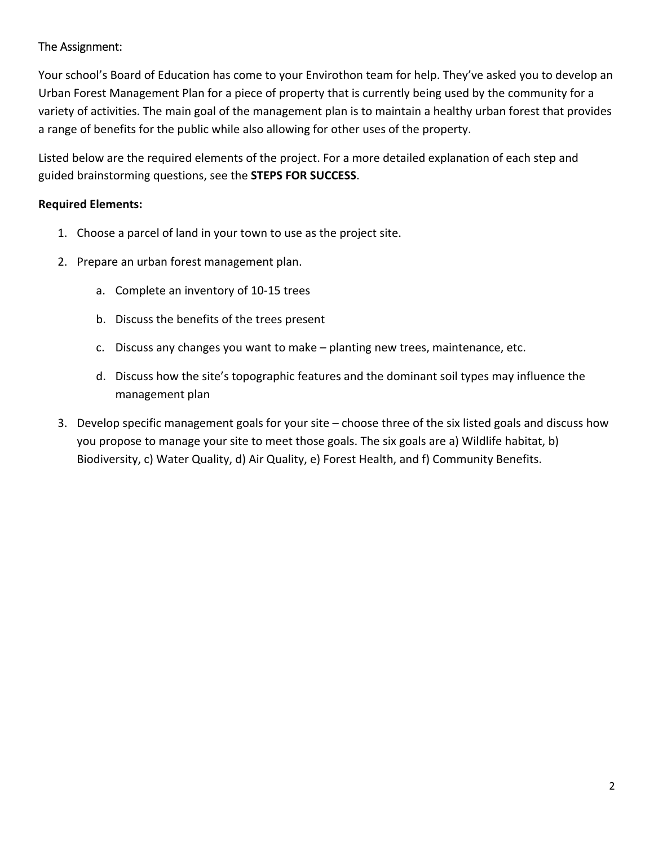# The Assignment:

Your school's Board of Education has come to your Envirothon team for help. They've asked you to develop an Urban Forest Management Plan for a piece of property that is currently being used by the community for a variety of activities. The main goal of the management plan is to maintain a healthy urban forest that provides a range of benefits for the public while also allowing for other uses of the property.

Listed below are the required elements of the project. For a more detailed explanation of each step and guided brainstorming questions, see the **STEPS FOR SUCCESS**.

# **Required Elements:**

- 1. Choose a parcel of land in your town to use as the project site.
- 2. Prepare an urban forest management plan.
	- a. Complete an inventory of 10‐15 trees
	- b. Discuss the benefits of the trees present
	- c. Discuss any changes you want to make planting new trees, maintenance, etc.
	- d. Discuss how the site's topographic features and the dominant soil types may influence the management plan
- 3. Develop specific management goals for your site choose three of the six listed goals and discuss how you propose to manage your site to meet those goals. The six goals are a) Wildlife habitat, b) Biodiversity, c) Water Quality, d) Air Quality, e) Forest Health, and f) Community Benefits.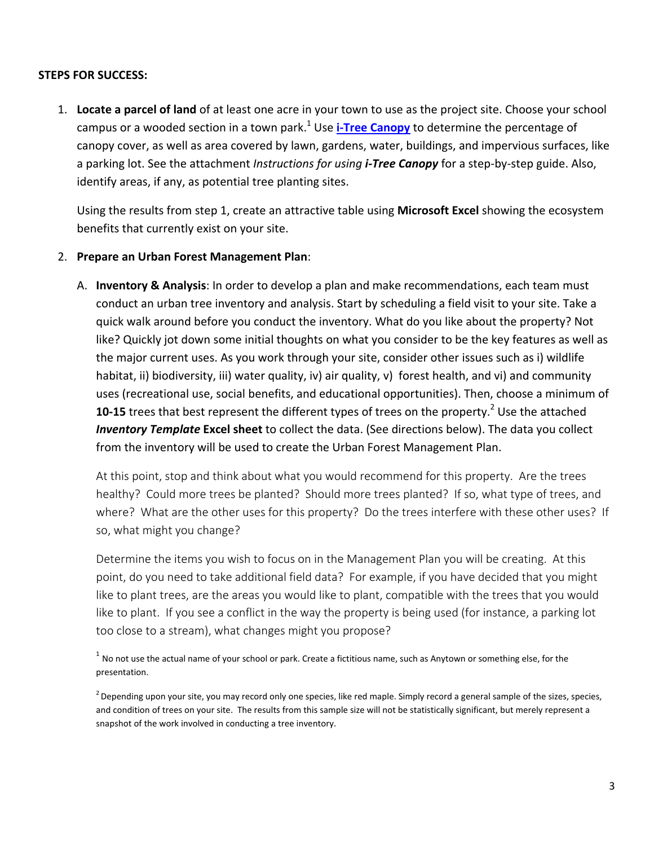#### **STEPS FOR SUCCESS:**

1. **Locate a parcel of land** of at least one acre in your town to use as the project site. Choose your school campus or a wooded section in a town park.1 Use **i‐Tree Canopy** to determine the percentage of canopy cover, as well as area covered by lawn, gardens, water, buildings, and impervious surfaces, like a parking lot. See the attachment *Instructions for using i‐Tree Canopy* for a step‐by‐step guide. Also, identify areas, if any, as potential tree planting sites.

Using the results from step 1, create an attractive table using **Microsoft Excel** showing the ecosystem benefits that currently exist on your site.

#### 2. **Prepare an Urban Forest Management Plan**:

A. **Inventory & Analysis**: In order to develop a plan and make recommendations, each team must conduct an urban tree inventory and analysis. Start by scheduling a field visit to your site. Take a quick walk around before you conduct the inventory. What do you like about the property? Not like? Quickly jot down some initial thoughts on what you consider to be the key features as well as the major current uses. As you work through your site, consider other issues such as i) wildlife habitat, ii) biodiversity, iii) water quality, iv) air quality, v) forest health, and vi) and community uses (recreational use, social benefits, and educational opportunities). Then, choose a minimum of **10-15** trees that best represent the different types of trees on the property.<sup>2</sup> Use the attached *Inventory Template* **Excel sheet** to collect the data. (See directions below). The data you collect from the inventory will be used to create the Urban Forest Management Plan.

At this point, stop and think about what you would recommend for this property. Are the trees healthy? Could more trees be planted? Should more trees planted? If so, what type of trees, and where? What are the other uses for this property? Do the trees interfere with these other uses? If so, what might you change?

Determine the items you wish to focus on in the Management Plan you will be creating. At this point, do you need to take additional field data? For example, if you have decided that you might like to plant trees, are the areas you would like to plant, compatible with the trees that you would like to plant. If you see a conflict in the way the property is being used (for instance, a parking lot too close to a stream), what changes might you propose?

 $1$  No not use the actual name of your school or park. Create a fictitious name, such as Anytown or something else, for the presentation.

 $^2$  Depending upon your site, you may record only one species, like red maple. Simply record a general sample of the sizes, species, and condition of trees on your site. The results from this sample size will not be statistically significant, but merely represent a snapshot of the work involved in conducting a tree inventory.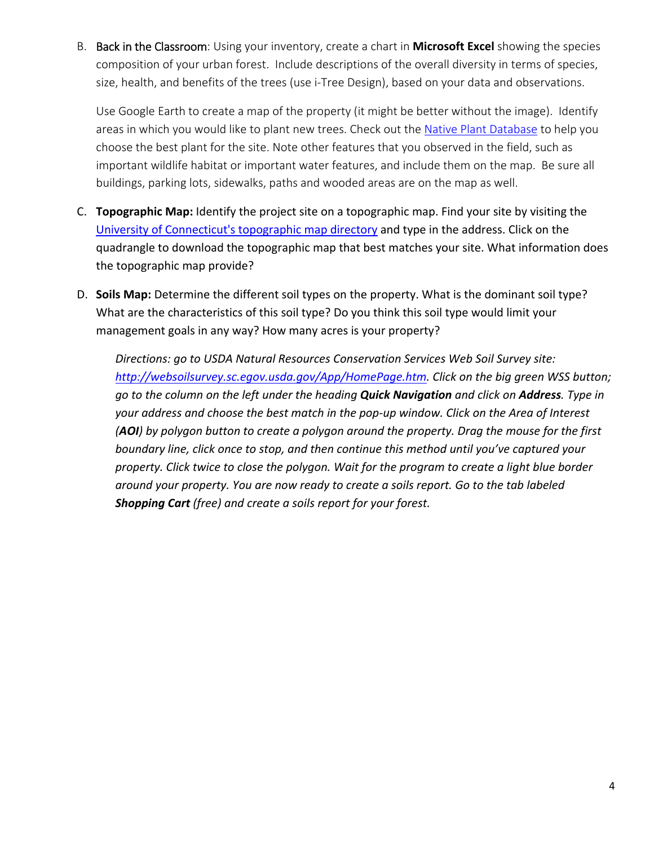B. Back in the Classroom: Using your inventory, create a chart in **Microsoft Excel** showing the species composition of your urban forest. Include descriptions of the overall diversity in terms of species, size, health, and benefits of the trees (use i‐Tree Design), based on your data and observations.

Use Google Earth to create a map of the property (it might be better without the image). Identify areas in which you would like to plant new trees. Check out the Native Plant Database to help you choose the best plant for the site. Note other features that you observed in the field, such as important wildlife habitat or important water features, and include them on the map. Be sure all buildings, parking lots, sidewalks, paths and wooded areas are on the map as well.

- C. **Topographic Map:** Identify the project site on a topographic map. Find your site by visiting the University of Connecticut's topographic map directory and type in the address. Click on the quadrangle to download the topographic map that best matches your site. What information does the topographic map provide?
- D. **Soils Map:** Determine the different soil types on the property. What is the dominant soil type? What are the characteristics of this soil type? Do you think this soil type would limit your management goals in any way? How many acres is your property?

*Directions: go to USDA Natural Resources Conservation Services Web Soil Survey site: http://websoilsurvey.sc.egov.usda.gov/App/HomePage.htm. Click on the big green WSS button;* go to the column on the left under the heading **Quick Navigation** and click on **Address**. Type in *your address and choose the best match in the pop‐up window. Click on the Area of Interest* (AOI) by polygon button to create a polygon around the property. Drag the mouse for the first *boundary line, click once to stop, and then continue this method until you've captured your property. Click twice to close the polygon. Wait for the program to create a light blue border around your property. You are now ready to create a soils report. Go to the tab labeled Shopping Cart (free) and create a soils report for your forest.*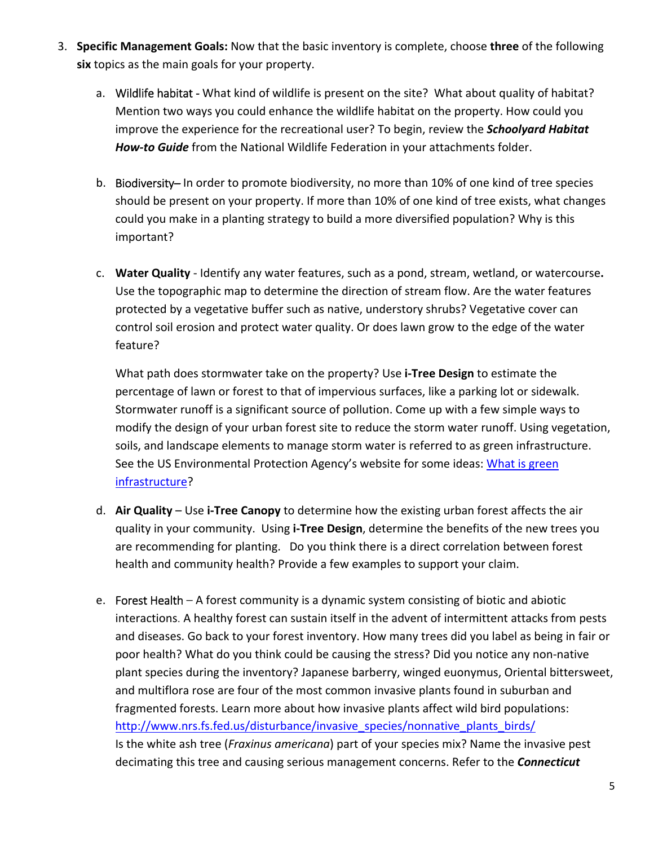- 3. **Specific Management Goals:** Now that the basic inventory is complete, choose **three** of the following **six** topics as the main goals for your property.
	- a. Wildlife habitat What kind of wildlife is present on the site? What about quality of habitat? Mention two ways you could enhance the wildlife habitat on the property. How could you improve the experience for the recreational user? To begin, review the *Schoolyard Habitat How‐to Guide* from the National Wildlife Federation in your attachments folder.
	- b. Biodiversity– In order to promote biodiversity, no more than 10% of one kind of tree species should be present on your property. If more than 10% of one kind of tree exists, what changes could you make in a planting strategy to build a more diversified population? Why is this important?
	- c. **Water Quality** ‐ Identify any water features, such as a pond, stream, wetland, or watercourse**.** Use the topographic map to determine the direction of stream flow. Are the water features protected by a vegetative buffer such as native, understory shrubs? Vegetative cover can control soil erosion and protect water quality. Or does lawn grow to the edge of the water feature?

What path does stormwater take on the property? Use **i‐Tree Design** to estimate the percentage of lawn or forest to that of impervious surfaces, like a parking lot or sidewalk. Stormwater runoff is a significant source of pollution. Come up with a few simple ways to modify the design of your urban forest site to reduce the storm water runoff. Using vegetation, soils, and landscape elements to manage storm water is referred to as green infrastructure. See the US Environmental Protection Agency's website for some ideas: What is green infrastructure?

- d. **Air Quality** Use **i‐Tree Canopy** to determine how the existing urban forest affects the air quality in your community. Using **i‐Tree Design**, determine the benefits of the new trees you are recommending for planting. Do you think there is a direct correlation between forest health and community health? Provide a few examples to support your claim.
- e. Forest Health A forest community is a dynamic system consisting of biotic and abiotic interactions. A healthy forest can sustain itself in the advent of intermittent attacks from pests and diseases. Go back to your forest inventory. How many trees did you label as being in fair or poor health? What do you think could be causing the stress? Did you notice any non‐native plant species during the inventory? Japanese barberry, winged euonymus, Oriental bittersweet, and multiflora rose are four of the most common invasive plants found in suburban and fragmented forests. Learn more about how invasive plants affect wild bird populations: http://www.nrs.fs.fed.us/disturbance/invasive\_species/nonnative\_plants\_birds/ Is the white ash tree (*Fraxinus americana*) part of your species mix? Name the invasive pest decimating this tree and causing serious management concerns. Refer to the *Connecticut*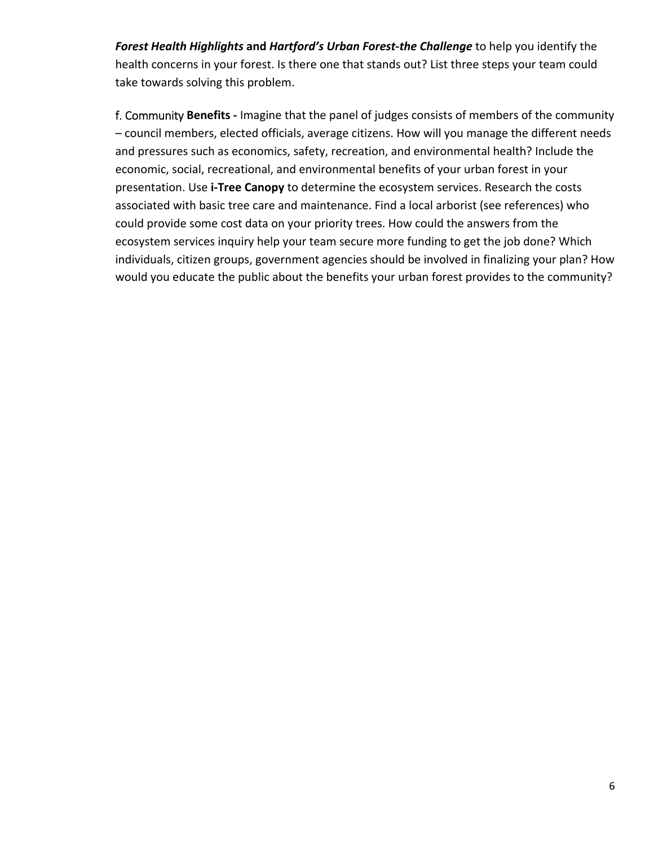*Forest Health Highlights* **and** *Hartford's Urban Forest‐the Challenge* to help you identify the health concerns in your forest. Is there one that stands out? List three steps your team could take towards solving this problem.

f. Community **Benefits ‐** Imagine that the panel of judges consists of members of the community – council members, elected officials, average citizens. How will you manage the different needs and pressures such as economics, safety, recreation, and environmental health? Include the economic, social, recreational, and environmental benefits of your urban forest in your presentation. Use **i‐Tree Canopy** to determine the ecosystem services. Research the costs associated with basic tree care and maintenance. Find a local arborist (see references) who could provide some cost data on your priority trees. How could the answers from the ecosystem services inquiry help your team secure more funding to get the job done? Which individuals, citizen groups, government agencies should be involved in finalizing your plan? How would you educate the public about the benefits your urban forest provides to the community?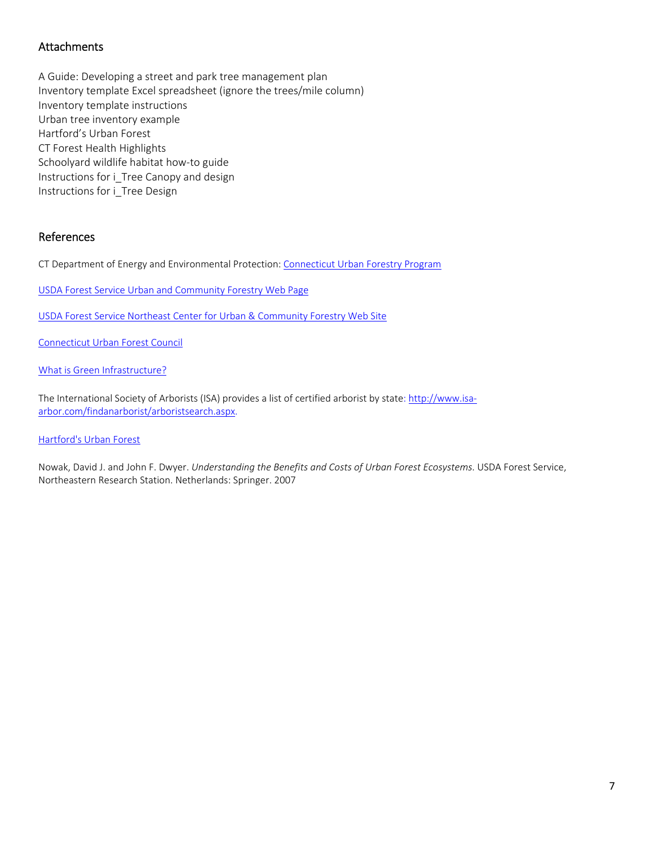## Attachments

A Guide: Developing a street and park tree management plan Inventory template Excel spreadsheet (ignore the trees/mile column) Inventory template instructions Urban tree inventory example Hartford's Urban Forest CT Forest Health Highlights Schoolyard wildlife habitat how‐to guide Instructions for i Tree Canopy and design Instructions for i Tree Design

#### References

CT Department of Energy and Environmental Protection: Connecticut Urban Forestry Program

USDA Forest Service Urban and Community Forestry Web Page

USDA Forest Service Northeast Center for Urban & Community Forestry Web Site

Connecticut Urban Forest Council

What is Green Infrastructure?

The International Society of Arborists (ISA) provides a list of certified arborist by state: http://www.isaarbor.com/findanarborist/arboristsearch.aspx.

Hartford's Urban Forest

Nowak, David J. and John F. Dwyer. *Understanding the Benefits and Costs of Urban Forest Ecosystems*. USDA Forest Service, Northeastern Research Station. Netherlands: Springer. 2007